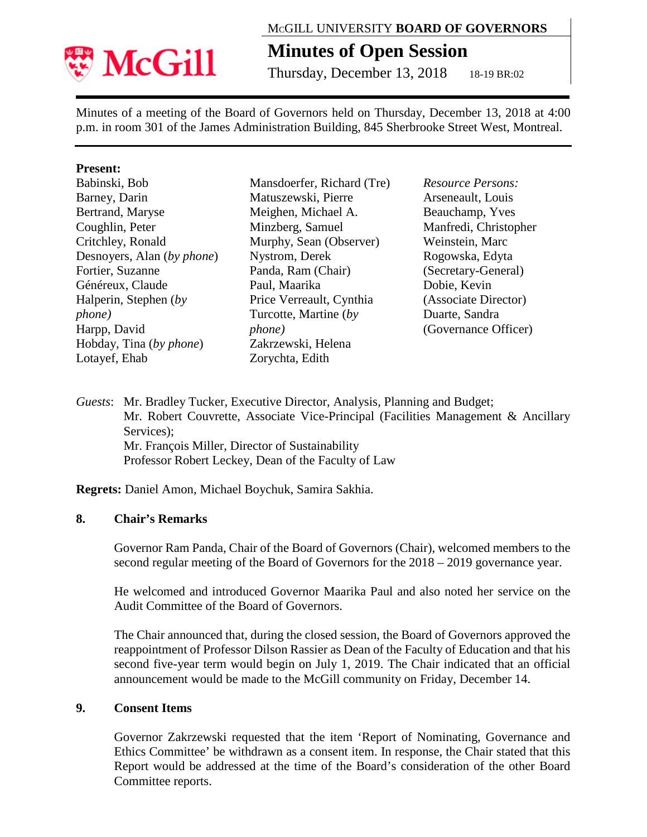

## MCGILL UNIVERSITY **BOARD OF GOVERNORS**

# **Minutes of Open Session**

Thursday, December 13, 2018 18-19 BR:02

Minutes of a meeting of the Board of Governors held on Thursday, December 13, 2018 at 4:00 p.m. in room 301 of the James Administration Building, 845 Sherbrooke Street West, Montreal.

#### **Present:**

| Babinski, Bob              | M       |
|----------------------------|---------|
| Barney, Darin              | M       |
| Bertrand, Maryse           | M       |
| Coughlin, Peter            | M       |
| Critchley, Ronald          | M       |
| Desnoyers, Alan (by phone) | N       |
| Fortier, Suzanne           | P       |
| Généreux, Claude           | P       |
| Halperin, Stephen (by      | $P_1$   |
| <i>phone</i> )             | $\rm T$ |
| Harpp, David               | p       |
| Hobday, Tina (by phone)    | Z       |
| Lotayef, Ehab              | Z       |

Mansdoerfer, Richard (Tre) Iatuszewski, Pierre Meighen, Michael A. Minzberg, Samuel Murphy, Sean (Observer) vstrom, Derek anda, Ram (Chair) aul, Maarika rice Verreault, Cynthia Turcotte, Martine (*by phone)* akrzewski, Helena orychta, Edith

*Resource Persons:* Arseneault, Louis Beauchamp, Yves Manfredi, Christopher Weinstein, Marc Rogowska, Edyta (Secretary-General) Dobie, Kevin (Associate Director) Duarte, Sandra (Governance Officer)

*Guests*: Mr. Bradley Tucker, Executive Director, Analysis, Planning and Budget; Mr. Robert Couvrette, Associate Vice-Principal (Facilities Management & Ancillary Services): Mr. François Miller, Director of Sustainability Professor Robert Leckey, Dean of the Faculty of Law

**Regrets:** Daniel Amon, Michael Boychuk, Samira Sakhia.

#### **8. Chair's Remarks**

Governor Ram Panda, Chair of the Board of Governors (Chair), welcomed members to the second regular meeting of the Board of Governors for the 2018 – 2019 governance year.

He welcomed and introduced Governor Maarika Paul and also noted her service on the Audit Committee of the Board of Governors.

The Chair announced that, during the closed session, the Board of Governors approved the reappointment of Professor Dilson Rassier as Dean of the Faculty of Education and that his second five-year term would begin on July 1, 2019. The Chair indicated that an official announcement would be made to the McGill community on Friday, December 14.

#### **9. Consent Items**

Governor Zakrzewski requested that the item 'Report of Nominating, Governance and Ethics Committee' be withdrawn as a consent item. In response, the Chair stated that this Report would be addressed at the time of the Board's consideration of the other Board Committee reports.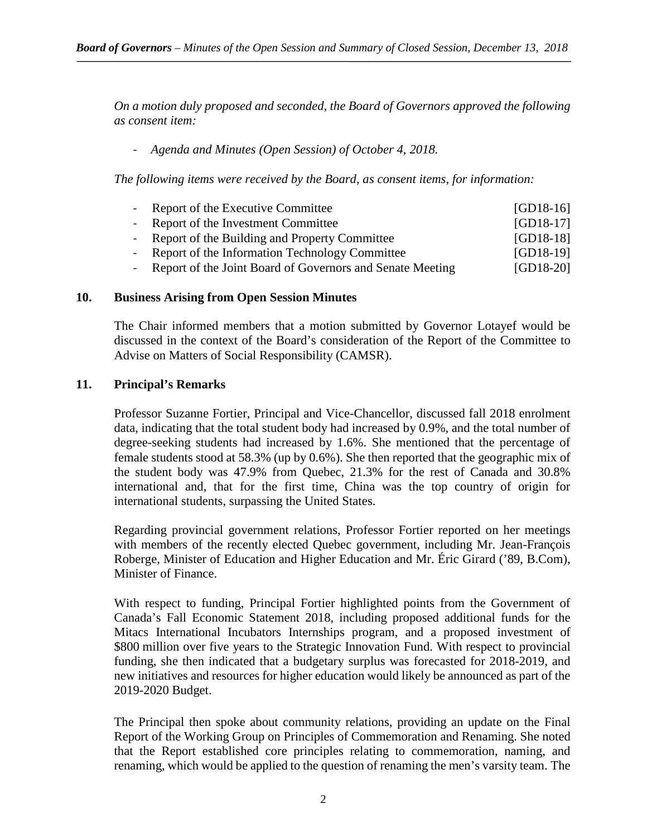*On a motion duly proposed and seconded, the Board of Governors approved the following as consent item:*

## - *Agenda and Minutes (Open Session) of October 4, 2018.*

*The following items were received by the Board, as consent items, for information:*

| - Report of the Executive Committee                         | $[GD18-16]$ |
|-------------------------------------------------------------|-------------|
| - Report of the Investment Committee                        | $[GD18-17]$ |
| - Report of the Building and Property Committee             | $[GD18-18]$ |
| - Report of the Information Technology Committee            | $[GD18-19]$ |
| - Report of the Joint Board of Governors and Senate Meeting | $[GD18-20]$ |

#### **10. Business Arising from Open Session Minutes**

The Chair informed members that a motion submitted by Governor Lotayef would be discussed in the context of the Board's consideration of the Report of the Committee to Advise on Matters of Social Responsibility (CAMSR).

#### **11. Principal's Remarks**

Professor Suzanne Fortier, Principal and Vice-Chancellor, discussed fall 2018 enrolment data, indicating that the total student body had increased by 0.9%, and the total number of degree-seeking students had increased by 1.6%. She mentioned that the percentage of female students stood at 58.3% (up by 0.6%). She then reported that the geographic mix of the student body was 47.9% from Quebec, 21.3% for the rest of Canada and 30.8% international and, that for the first time, China was the top country of origin for international students, surpassing the United States.

Regarding provincial government relations, Professor Fortier reported on her meetings with members of the recently elected Quebec government, including Mr. Jean-François Roberge, Minister of Education and Higher Education and Mr. Éric Girard ('89, B.Com), Minister of Finance.

With respect to funding, Principal Fortier highlighted points from the Government of Canada's Fall Economic Statement 2018, including proposed additional funds for the Mitacs International Incubators Internships program, and a proposed investment of \$800 million over five years to the Strategic Innovation Fund. With respect to provincial funding, she then indicated that a budgetary surplus was forecasted for 2018-2019, and new initiatives and resources for higher education would likely be announced as part of the 2019-2020 Budget.

The Principal then spoke about community relations, providing an update on the Final Report of the Working Group on Principles of Commemoration and Renaming. She noted that the Report established core principles relating to commemoration, naming, and renaming, which would be applied to the question of renaming the men's varsity team. The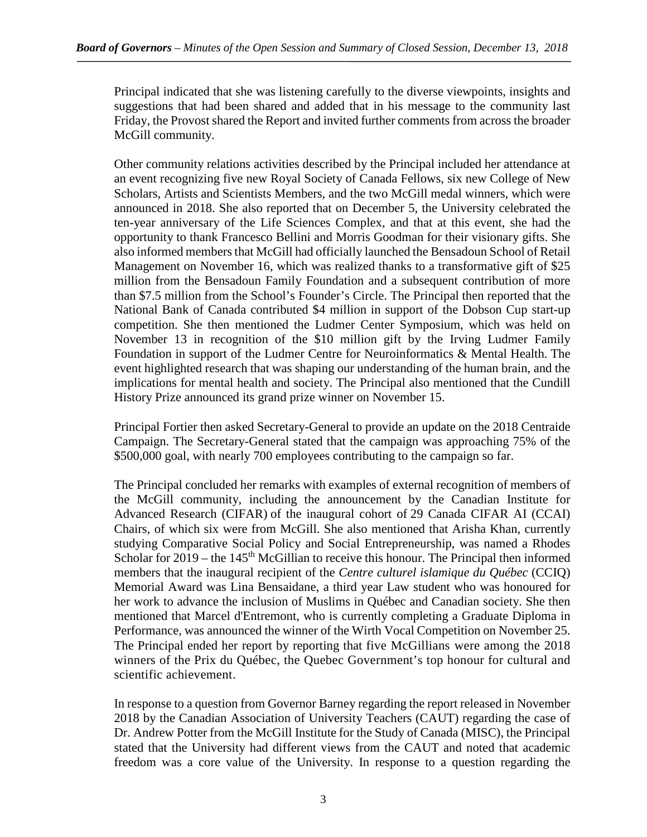Principal indicated that she was listening carefully to the diverse viewpoints, insights and suggestions that had been shared and added that in his message to the community last Friday, the Provost shared the Report and invited further comments from across the broader McGill community.

Other community relations activities described by the Principal included her attendance at an event recognizing five new Royal Society of Canada Fellows, six new College of New Scholars, Artists and Scientists Members, and the two McGill medal winners, which were announced in 2018. She also reported that on December 5, the University celebrated the ten-year anniversary of the Life Sciences Complex, and that at this event, she had the opportunity to thank Francesco Bellini and Morris Goodman for their visionary gifts. She also informed members that McGill had officially launched the Bensadoun School of Retail Management on November 16, which was realized thanks to a transformative gift of \$25 million from the Bensadoun Family Foundation and a subsequent contribution of more than \$7.5 million from the School's Founder's Circle. The Principal then reported that the National Bank of Canada contributed \$4 million in support of the Dobson Cup start-up competition. She then mentioned the Ludmer Center Symposium, which was held on November 13 in recognition of the \$10 million gift by the Irving Ludmer Family Foundation in support of the Ludmer Centre for Neuroinformatics & Mental Health. The event highlighted research that was shaping our understanding of the human brain, and the implications for mental health and society. The Principal also mentioned that the Cundill History Prize announced its grand prize winner on November 15.

Principal Fortier then asked Secretary-General to provide an update on the 2018 Centraide Campaign. The Secretary-General stated that the campaign was approaching 75% of the \$500,000 goal, with nearly 700 employees contributing to the campaign so far.

The Principal concluded her remarks with examples of external recognition of members of the McGill community, including the announcement by the Canadian Institute for Advanced Research (CIFAR) of the inaugural cohort of 29 Canada CIFAR AI (CCAI) Chairs, of which six were from McGill. She also mentioned that Arisha Khan, currently studying Comparative Social Policy and Social Entrepreneurship, was named a Rhodes Scholar for  $2019$  – the  $145<sup>th</sup>$  McGillian to receive this honour. The Principal then informed members that the inaugural recipient of the *Centre culturel islamique du Québec* (CCIQ) Memorial Award was Lina Bensaidane, a third year Law student who was honoured for her work to advance the inclusion of Muslims in Québec and Canadian society. She then mentioned that Marcel d'Entremont, who is currently completing a Graduate Diploma in Performance, was announced the winner of the Wirth Vocal Competition on November 25. The Principal ended her report by reporting that five McGillians were among the 2018 winners of the Prix du Québec, the Quebec Government's top honour for cultural and scientific achievement.

In response to a question from Governor Barney regarding the report released in November 2018 by the Canadian Association of University Teachers (CAUT) regarding the case of Dr. Andrew Potter from the McGill Institute for the Study of Canada (MISC), the Principal stated that the University had different views from the CAUT and noted that academic freedom was a core value of the University. In response to a question regarding the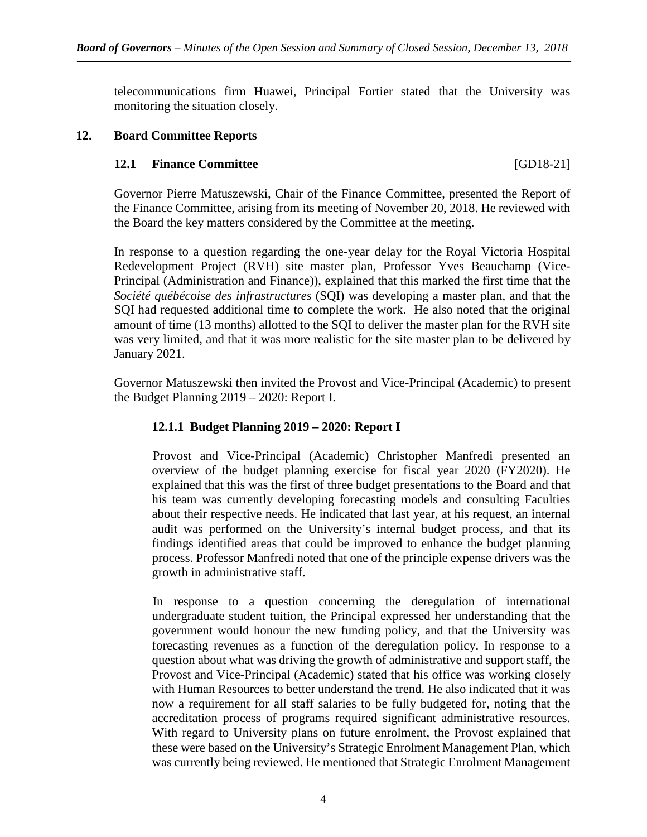telecommunications firm Huawei, Principal Fortier stated that the University was monitoring the situation closely.

#### **12. Board Committee Reports**

#### **12.1 Finance Committee** [GD18-21]

Governor Pierre Matuszewski, Chair of the Finance Committee, presented the Report of the Finance Committee, arising from its meeting of November 20, 2018. He reviewed with the Board the key matters considered by the Committee at the meeting.

In response to a question regarding the one-year delay for the Royal Victoria Hospital Redevelopment Project (RVH) site master plan, Professor Yves Beauchamp (Vice-Principal (Administration and Finance)), explained that this marked the first time that the *Société québécoise des infrastructures* (SQI) was developing a master plan, and that the SQI had requested additional time to complete the work. He also noted that the original amount of time (13 months) allotted to the SQI to deliver the master plan for the RVH site was very limited, and that it was more realistic for the site master plan to be delivered by January 2021.

Governor Matuszewski then invited the Provost and Vice-Principal (Academic) to present the Budget Planning 2019 – 2020: Report I.

#### **12.1.1 Budget Planning 2019 – 2020: Report I**

Provost and Vice-Principal (Academic) Christopher Manfredi presented an overview of the budget planning exercise for fiscal year 2020 (FY2020). He explained that this was the first of three budget presentations to the Board and that his team was currently developing forecasting models and consulting Faculties about their respective needs. He indicated that last year, at his request, an internal audit was performed on the University's internal budget process, and that its findings identified areas that could be improved to enhance the budget planning process. Professor Manfredi noted that one of the principle expense drivers was the growth in administrative staff.

In response to a question concerning the deregulation of international undergraduate student tuition, the Principal expressed her understanding that the government would honour the new funding policy, and that the University was forecasting revenues as a function of the deregulation policy. In response to a question about what was driving the growth of administrative and support staff, the Provost and Vice-Principal (Academic) stated that his office was working closely with Human Resources to better understand the trend. He also indicated that it was now a requirement for all staff salaries to be fully budgeted for, noting that the accreditation process of programs required significant administrative resources. With regard to University plans on future enrolment, the Provost explained that these were based on the University's Strategic Enrolment Management Plan, which was currently being reviewed. He mentioned that Strategic Enrolment Management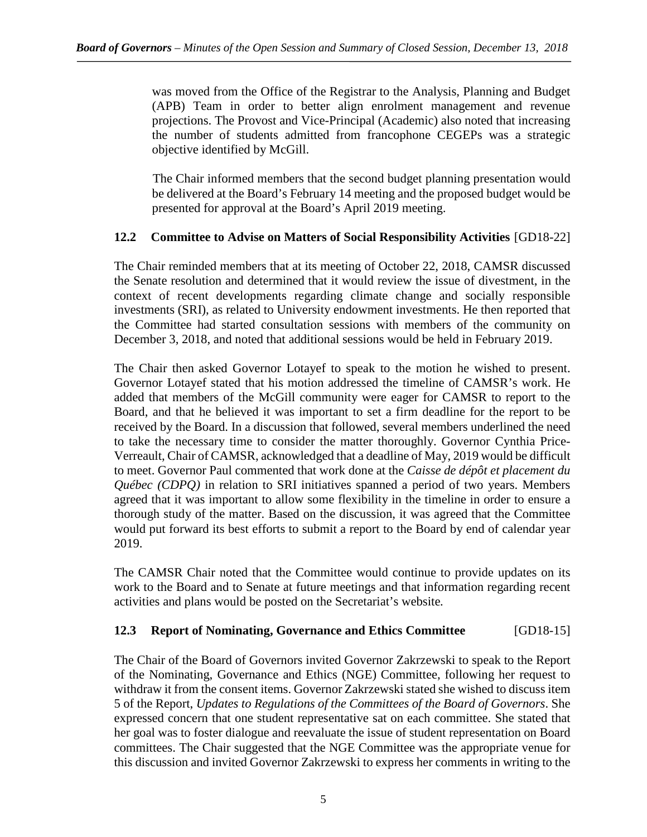was moved from the Office of the Registrar to the Analysis, Planning and Budget (APB) Team in order to better align enrolment management and revenue projections. The Provost and Vice-Principal (Academic) also noted that increasing the number of students admitted from francophone CEGEPs was a strategic objective identified by McGill.

The Chair informed members that the second budget planning presentation would be delivered at the Board's February 14 meeting and the proposed budget would be presented for approval at the Board's April 2019 meeting.

# **12.2 Committee to Advise on Matters of Social Responsibility Activities** [GD18-22]

The Chair reminded members that at its meeting of October 22, 2018, CAMSR discussed the Senate resolution and determined that it would review the issue of divestment, in the context of recent developments regarding climate change and socially responsible investments (SRI), as related to University endowment investments. He then reported that the Committee had started consultation sessions with members of the community on December 3, 2018, and noted that additional sessions would be held in February 2019.

The Chair then asked Governor Lotayef to speak to the motion he wished to present. Governor Lotayef stated that his motion addressed the timeline of CAMSR's work. He added that members of the McGill community were eager for CAMSR to report to the Board, and that he believed it was important to set a firm deadline for the report to be received by the Board. In a discussion that followed, several members underlined the need to take the necessary time to consider the matter thoroughly. Governor Cynthia Price-Verreault, Chair of CAMSR, acknowledged that a deadline of May, 2019 would be difficult to meet. Governor Paul commented that work done at the *Caisse de dépôt et placement du Québec (CDPQ)* in relation to SRI initiatives spanned a period of two years. Members agreed that it was important to allow some flexibility in the timeline in order to ensure a thorough study of the matter. Based on the discussion, it was agreed that the Committee would put forward its best efforts to submit a report to the Board by end of calendar year 2019.

The CAMSR Chair noted that the Committee would continue to provide updates on its work to the Board and to Senate at future meetings and that information regarding recent activities and plans would be posted on the Secretariat's website*.*

# **12.3 Report of Nominating, Governance and Ethics Committee** [GD18-15]

The Chair of the Board of Governors invited Governor Zakrzewski to speak to the Report of the Nominating, Governance and Ethics (NGE) Committee, following her request to withdraw it from the consent items. Governor Zakrzewski stated she wished to discuss item 5 of the Report, *Updates to Regulations of the Committees of the Board of Governors*. She expressed concern that one student representative sat on each committee. She stated that her goal was to foster dialogue and reevaluate the issue of student representation on Board committees. The Chair suggested that the NGE Committee was the appropriate venue for this discussion and invited Governor Zakrzewski to express her comments in writing to the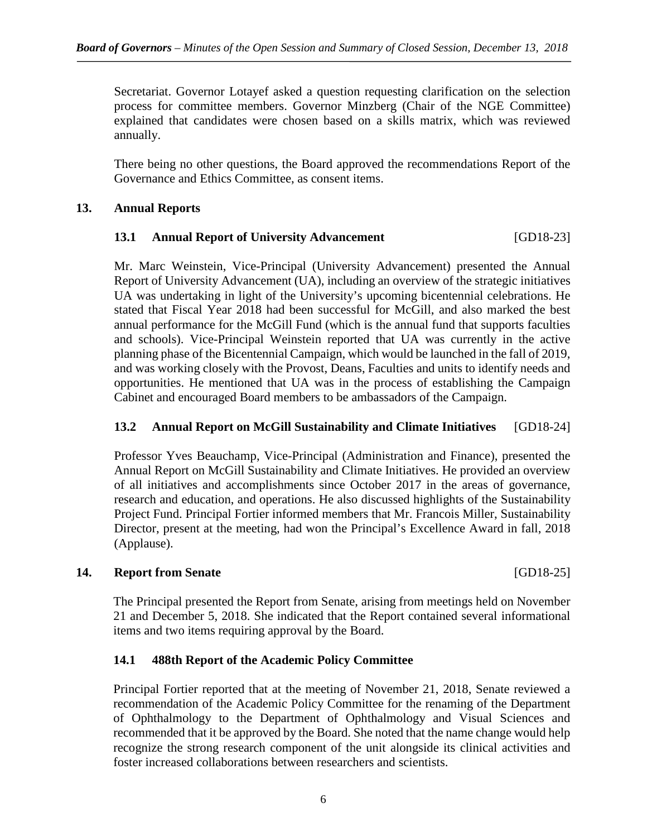Secretariat. Governor Lotayef asked a question requesting clarification on the selection process for committee members. Governor Minzberg (Chair of the NGE Committee) explained that candidates were chosen based on a skills matrix, which was reviewed annually.

There being no other questions, the Board approved the recommendations Report of the Governance and Ethics Committee, as consent items.

#### **13. Annual Reports**

## **13.1 Annual Report of University Advancement** [GD18-23]

Mr. Marc Weinstein, Vice-Principal (University Advancement) presented the Annual Report of University Advancement (UA), including an overview of the strategic initiatives UA was undertaking in light of the University's upcoming bicentennial celebrations. He stated that Fiscal Year 2018 had been successful for McGill, and also marked the best annual performance for the McGill Fund (which is the annual fund that supports faculties and schools). Vice-Principal Weinstein reported that UA was currently in the active planning phase of the Bicentennial Campaign, which would be launched in the fall of 2019, and was working closely with the Provost, Deans, Faculties and units to identify needs and opportunities. He mentioned that UA was in the process of establishing the Campaign Cabinet and encouraged Board members to be ambassadors of the Campaign.

#### **13.2 Annual Report on McGill Sustainability and Climate Initiatives** [GD18-24]

Professor Yves Beauchamp, Vice-Principal (Administration and Finance), presented the Annual Report on McGill Sustainability and Climate Initiatives. He provided an overview of all initiatives and accomplishments since October 2017 in the areas of governance, research and education, and operations. He also discussed highlights of the Sustainability Project Fund. Principal Fortier informed members that Mr. Francois Miller, Sustainability Director, present at the meeting, had won the Principal's Excellence Award in fall, 2018 (Applause).

#### **14. Report from Senate** [GD18-25]

The Principal presented the Report from Senate, arising from meetings held on November 21 and December 5, 2018. She indicated that the Report contained several informational items and two items requiring approval by the Board.

# **14.1 488th Report of the Academic Policy Committee**

Principal Fortier reported that at the meeting of November 21, 2018, Senate reviewed a recommendation of the Academic Policy Committee for the renaming of the Department of Ophthalmology to the Department of Ophthalmology and Visual Sciences and recommended that it be approved by the Board. She noted that the name change would help recognize the strong research component of the unit alongside its clinical activities and foster increased collaborations between researchers and scientists.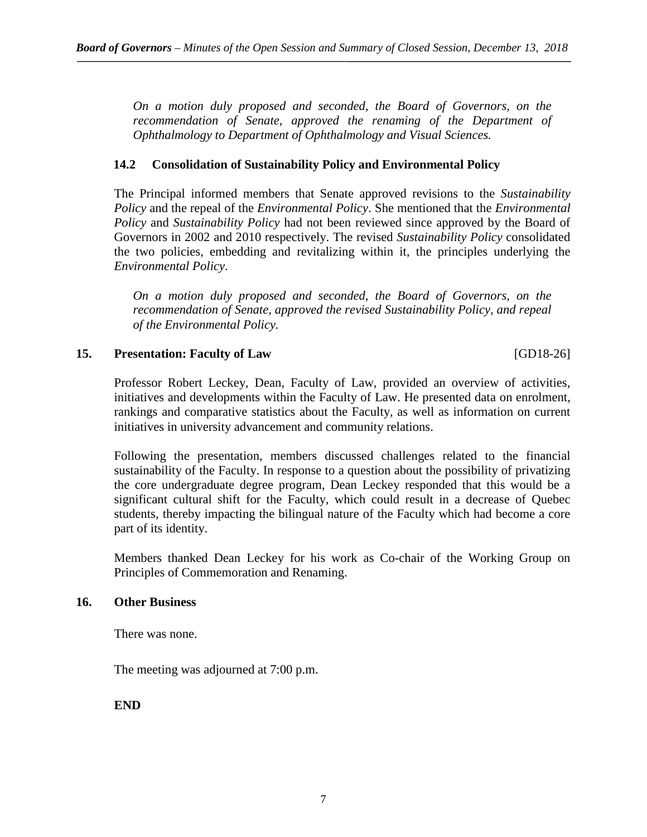*On a motion duly proposed and seconded, the Board of Governors, on the recommendation of Senate, approved the renaming of the Department of Ophthalmology to Department of Ophthalmology and Visual Sciences.*

## **14.2 Consolidation of Sustainability Policy and Environmental Policy**

The Principal informed members that Senate approved revisions to the *Sustainability Policy* and the repeal of the *Environmental Policy*. She mentioned that the *Environmental Policy* and *Sustainability Policy* had not been reviewed since approved by the Board of Governors in 2002 and 2010 respectively. The revised *Sustainability Policy* consolidated the two policies, embedding and revitalizing within it, the principles underlying the *Environmental Policy*.

*On a motion duly proposed and seconded, the Board of Governors, on the recommendation of Senate, approved the revised Sustainability Policy, and repeal of the Environmental Policy.*

#### **15. Presentation: Faculty of Law** [GD18-26]

Professor Robert Leckey, Dean, Faculty of Law, provided an overview of activities, initiatives and developments within the Faculty of Law. He presented data on enrolment, rankings and comparative statistics about the Faculty, as well as information on current initiatives in university advancement and community relations.

Following the presentation, members discussed challenges related to the financial sustainability of the Faculty. In response to a question about the possibility of privatizing the core undergraduate degree program, Dean Leckey responded that this would be a significant cultural shift for the Faculty, which could result in a decrease of Quebec students, thereby impacting the bilingual nature of the Faculty which had become a core part of its identity.

Members thanked Dean Leckey for his work as Co-chair of the Working Group on Principles of Commemoration and Renaming.

# **16. Other Business**

There was none.

The meeting was adjourned at 7:00 p.m.

**END**